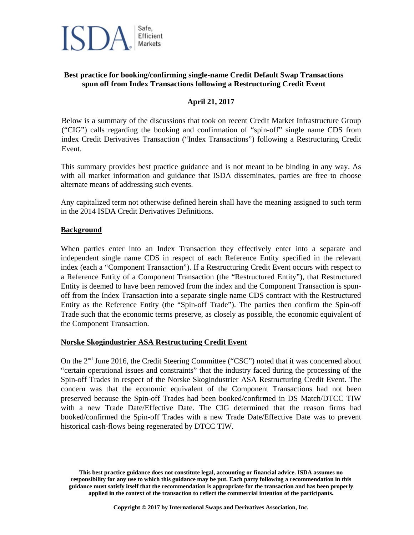# Safe. Efficient Markets

## **Best practice for booking/confirming single-name Credit Default Swap Transactions spun off from Index Transactions following a Restructuring Credit Event**

## **April 21, 2017**

Below is a summary of the discussions that took on recent Credit Market Infrastructure Group ("CIG") calls regarding the booking and confirmation of "spin-off" single name CDS from index Credit Derivatives Transaction ("Index Transactions") following a Restructuring Credit Event.

This summary provides best practice guidance and is not meant to be binding in any way. As with all market information and guidance that ISDA disseminates, parties are free to choose alternate means of addressing such events.

Any capitalized term not otherwise defined herein shall have the meaning assigned to such term in the 2014 ISDA Credit Derivatives Definitions.

#### **Background**

When parties enter into an Index Transaction they effectively enter into a separate and independent single name CDS in respect of each Reference Entity specified in the relevant index (each a "Component Transaction"). If a Restructuring Credit Event occurs with respect to a Reference Entity of a Component Transaction (the "Restructured Entity"), that Restructured Entity is deemed to have been removed from the index and the Component Transaction is spunoff from the Index Transaction into a separate single name CDS contract with the Restructured Entity as the Reference Entity (the "Spin-off Trade"). The parties then confirm the Spin-off Trade such that the economic terms preserve, as closely as possible, the economic equivalent of the Component Transaction.

### **Norske Skogindustrier ASA Restructuring Credit Event**

On the 2nd June 2016, the Credit Steering Committee ("CSC") noted that it was concerned about "certain operational issues and constraints" that the industry faced during the processing of the Spin-off Trades in respect of the Norske Skogindustrier ASA Restructuring Credit Event. The concern was that the economic equivalent of the Component Transactions had not been preserved because the Spin-off Trades had been booked/confirmed in DS Match/DTCC TIW with a new Trade Date/Effective Date. The CIG determined that the reason firms had booked/confirmed the Spin-off Trades with a new Trade Date/Effective Date was to prevent historical cash-flows being regenerated by DTCC TIW.

**This best practice guidance does not constitute legal, accounting or financial advice. ISDA assumes no responsibility for any use to which this guidance may be put. Each party following a recommendation in this guidance must satisfy itself that the recommendation is appropriate for the transaction and has been properly applied in the context of the transaction to reflect the commercial intention of the participants.**